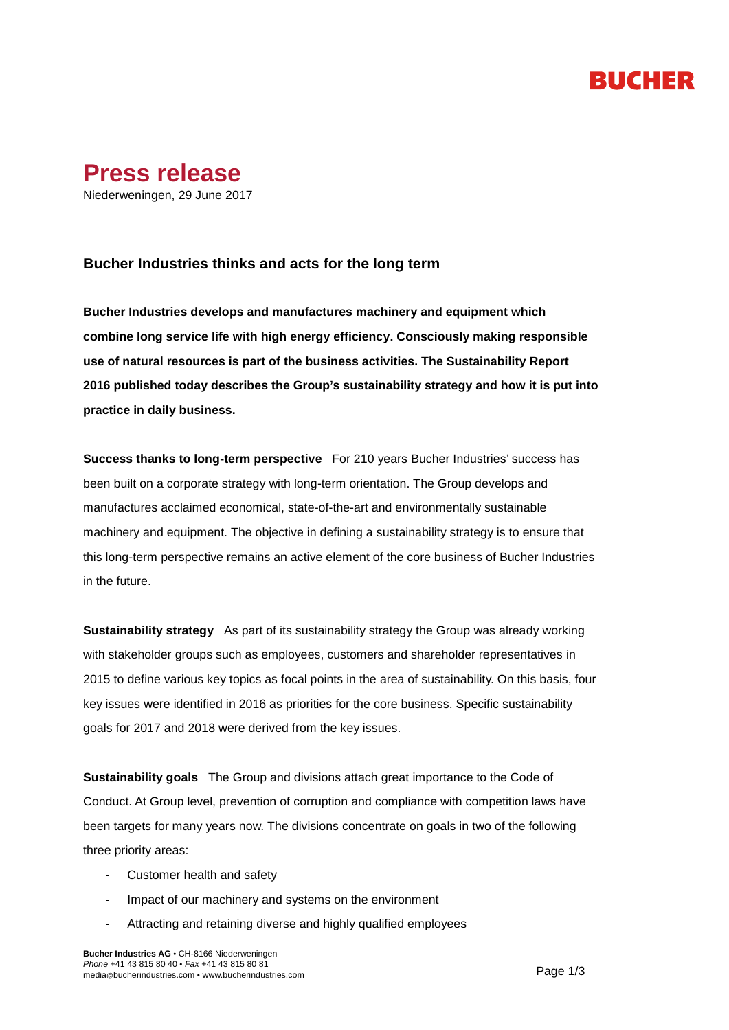### RUCHER



### **Bucher Industries thinks and acts for the long term**

**Bucher Industries develops and manufactures machinery and equipment which combine long service life with high energy efficiency. Consciously making responsible use of natural resources is part of the business activities. The Sustainability Report 2016 published today describes the Group's sustainability strategy and how it is put into practice in daily business.**

**Success thanks to long-term perspective** For 210 years Bucher Industries' success has been built on a corporate strategy with long-term orientation. The Group develops and manufactures acclaimed economical, state-of-the-art and environmentally sustainable machinery and equipment. The objective in defining a sustainability strategy is to ensure that this long-term perspective remains an active element of the core business of Bucher Industries in the future.

**Sustainability strategy** As part of its sustainability strategy the Group was already working with stakeholder groups such as employees, customers and shareholder representatives in 2015 to define various key topics as focal points in the area of sustainability. On this basis, four key issues were identified in 2016 as priorities for the core business. Specific sustainability goals for 2017 and 2018 were derived from the key issues.

**Sustainability goals** The Group and divisions attach great importance to the Code of Conduct. At Group level, prevention of corruption and compliance with competition laws have been targets for many years now. The divisions concentrate on goals in two of the following three priority areas:

- Customer health and safety
- Impact of our machinery and systems on the environment
- Attracting and retaining diverse and highly qualified employees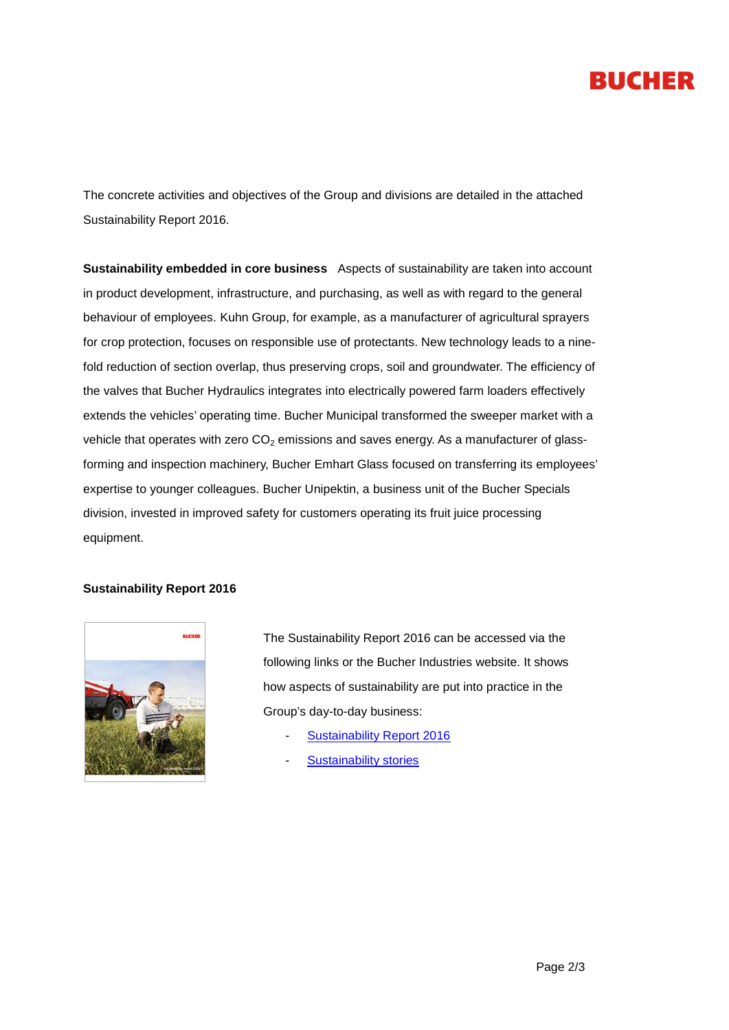# **BUCHER**

The concrete activities and objectives of the Group and divisions are detailed in the attached Sustainability Report 2016.

**Sustainability embedded in core business** Aspects of sustainability are taken into account in product development, infrastructure, and purchasing, as well as with regard to the general behaviour of employees. Kuhn Group, for example, as a manufacturer of agricultural sprayers for crop protection, focuses on responsible use of protectants. New technology leads to a ninefold reduction of section overlap, thus preserving crops, soil and groundwater. The efficiency of the valves that Bucher Hydraulics integrates into electrically powered farm loaders effectively extends the vehicles' operating time. Bucher Municipal transformed the sweeper market with a vehicle that operates with zero  $CO<sub>2</sub>$  emissions and saves energy. As a manufacturer of glassforming and inspection machinery, Bucher Emhart Glass focused on transferring its employees' expertise to younger colleagues. Bucher Unipektin, a business unit of the Bucher Specials division, invested in improved safety for customers operating its fruit juice processing equipment.

#### **Sustainability Report 2016**



The Sustainability Report 2016 can be accessed via the following links or the Bucher Industries website. It shows how aspects of sustainability are put into practice in the Group's day-to-day business:

- [Sustainability Report 2016](http://www.bucherindustries.com/en/investor-relations/sustainability-report)
- **[Sustainability stories](http://www.bucherindustries.com/en/about-us/sustainability)**